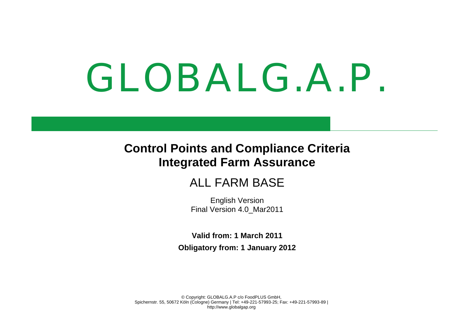# GLOBALG.A.P.

# **Control Points and Compliance Criteria Integrated Farm Assurance**

# ALL FARM BASE

English Version Final Version 4.0\_Mar2011

**Valid from: 1 March 2011 Obligatory from: 1 January 2012**

© Copyright: GLOBALG.A.P c/o FoodPLUS GmbH, Spichernstr. 55, 50672 Köln (Cologne) Germany | Tel: +49-221-57993-25; Fax: +49-221-57993-89 | http://www.globalgap.org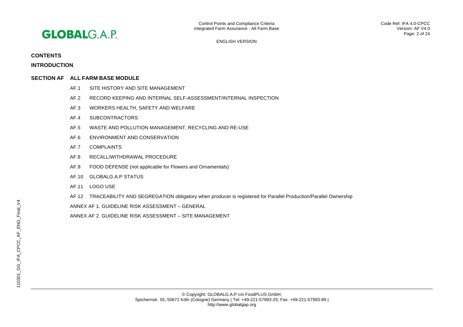

# **CONTENTS**

**INTRODUCTION**

# **SECTION AF ALL FARM BASE MODULE**

- AF.1 SITE HISTORY AND SITE MANAGEMENT
- AF.2 RECORD KEEPING AND INTERNAL SELF-ASSESSMENT/INTERNAL INSPECTION
- AF.3 WORKERS HEALTH, SAFETY AND WELFARE
- AF.4 SUBCONTRACTORS
- AF.5 WASTE AND POLLUTION MANAGEMENT, RECYCLING AND RE-USE
- AF.6 ENVIRONMENT AND CONSERVATION
- AF.7 COMPLAINTS
- AF.8 RECALL/WITHDRAWAL PROCEDURE
- AF.9 FOOD DEFENSE (not applicable for Flowers and Ornamentals)
- AF.10 GLOBALG.A.P STATUS
- AF.11 LOGO USE
- AF.12 TRACEABILITY AND SEGREGATION obligatory when producer is registered for Parallel Production/Parallel Ownership
- ANNEX AF 1. GUIDELINE RISK ASSESSMENT GENERAL
- ANNEX AF 2. GUIDELINE RISK ASSESSMENT SITE MANAGEMENT

110301\_GG\_IFA\_CPCC\_AF\_ENG\_Final\_V4

110301\_GG\_IFA\_CPCC\_AF\_ENG\_Final\_V4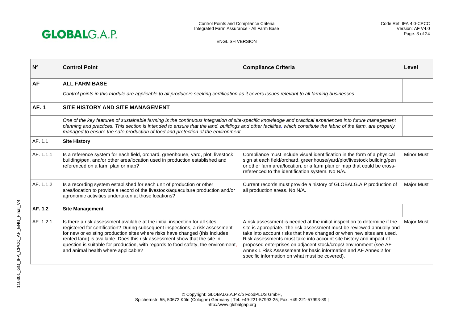

| N <sub>o</sub> | <b>Control Point</b>                                                                                                                                                                                                                                                                                                                                                                                                                                      | <b>Compliance Criteria</b>                                                                                                                                                                                                                                                                                                                                                                                                                                                                    | Level             |
|----------------|-----------------------------------------------------------------------------------------------------------------------------------------------------------------------------------------------------------------------------------------------------------------------------------------------------------------------------------------------------------------------------------------------------------------------------------------------------------|-----------------------------------------------------------------------------------------------------------------------------------------------------------------------------------------------------------------------------------------------------------------------------------------------------------------------------------------------------------------------------------------------------------------------------------------------------------------------------------------------|-------------------|
| AF             | <b>ALL FARM BASE</b>                                                                                                                                                                                                                                                                                                                                                                                                                                      |                                                                                                                                                                                                                                                                                                                                                                                                                                                                                               |                   |
|                | Control points in this module are applicable to all producers seeking certification as it covers issues relevant to all farming businesses.                                                                                                                                                                                                                                                                                                               |                                                                                                                                                                                                                                                                                                                                                                                                                                                                                               |                   |
| <b>AF.1</b>    | SITE HISTORY AND SITE MANAGEMENT                                                                                                                                                                                                                                                                                                                                                                                                                          |                                                                                                                                                                                                                                                                                                                                                                                                                                                                                               |                   |
|                | One of the key features of sustainable farming is the continuous integration of site-specific knowledge and practical experiences into future management<br>planning and practices. This section is intended to ensure that the land, buildings and other facilities, which constitute the fabric of the farm, are properly<br>managed to ensure the safe production of food and protection of the environment.                                           |                                                                                                                                                                                                                                                                                                                                                                                                                                                                                               |                   |
| AF. 1.1        | <b>Site History</b>                                                                                                                                                                                                                                                                                                                                                                                                                                       |                                                                                                                                                                                                                                                                                                                                                                                                                                                                                               |                   |
| AF. 1.1.1      | Is a reference system for each field, orchard, greenhouse, yard, plot, livestock<br>building/pen, and/or other area/location used in production established and<br>referenced on a farm plan or map?                                                                                                                                                                                                                                                      | Compliance must include visual identification in the form of a physical<br>sign at each field/orchard, greenhouse/yard/plot/livestock building/pen<br>or other farm area/location, or a farm plan or map that could be cross-<br>referenced to the identification system. No N/A.                                                                                                                                                                                                             | <b>Minor Must</b> |
| AF. 1.1.2      | Is a recording system established for each unit of production or other<br>area/location to provide a record of the livestock/aquaculture production and/or<br>agronomic activities undertaken at those locations?                                                                                                                                                                                                                                         | Current records must provide a history of GLOBALG.A.P production of<br>all production areas. No N/A.                                                                                                                                                                                                                                                                                                                                                                                          | <b>Major Must</b> |
| AF. 1.2        | <b>Site Management</b>                                                                                                                                                                                                                                                                                                                                                                                                                                    |                                                                                                                                                                                                                                                                                                                                                                                                                                                                                               |                   |
| AF. 1.2.1      | Is there a risk assessment available at the initial inspection for all sites<br>registered for certification? During subsequent inspections, a risk assessment<br>for new or existing production sites where risks have changed (this includes<br>rented land) is available. Does this risk assessment show that the site in<br>question is suitable for production, with regards to food safety, the environment,<br>and animal health where applicable? | A risk assessment is needed at the initial inspection to determine if the<br>site is appropriate. The risk assessment must be reviewed annually and<br>take into account risks that have changed or when new sites are used.<br>Risk assessments must take into account site history and impact of<br>proposed enterprises on adjacent stock/crops/ environment (see AF<br>Annex 1 Risk Assessment for basic information and AF Annex 2 for<br>specific information on what must be covered). | <b>Major Must</b> |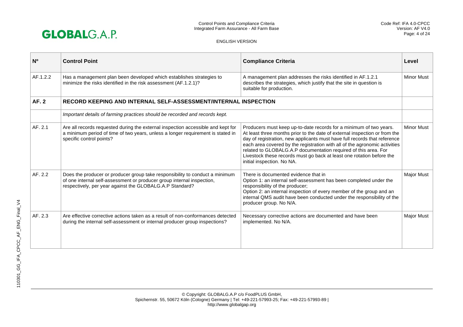

| N <sub>0</sub> | <b>Control Point</b>                                                                                                                                                                                               | <b>Compliance Criteria</b>                                                                                                                                                                                                                                                                                                                                                                                                                                                            | Level             |
|----------------|--------------------------------------------------------------------------------------------------------------------------------------------------------------------------------------------------------------------|---------------------------------------------------------------------------------------------------------------------------------------------------------------------------------------------------------------------------------------------------------------------------------------------------------------------------------------------------------------------------------------------------------------------------------------------------------------------------------------|-------------------|
| AF.1.2.2       | Has a management plan been developed which establishes strategies to<br>minimize the risks identified in the risk assessment (AF.1.2.1)?                                                                           | A management plan addresses the risks identified in AF.1.2.1<br>describes the strategies, which justify that the site in question is<br>suitable for production.                                                                                                                                                                                                                                                                                                                      | <b>Minor Must</b> |
| AF. 2          | RECORD KEEPING AND INTERNAL SELF-ASSESSMENT/INTERNAL INSPECTION                                                                                                                                                    |                                                                                                                                                                                                                                                                                                                                                                                                                                                                                       |                   |
|                | Important details of farming practices should be recorded and records kept.                                                                                                                                        |                                                                                                                                                                                                                                                                                                                                                                                                                                                                                       |                   |
| AF. 2.1        | Are all records requested during the external inspection accessible and kept for<br>a minimum period of time of two years, unless a longer requirement is stated in<br>specific control points?                    | Producers must keep up-to-date records for a minimum of two years.<br>At least three months prior to the date of external inspection or from the<br>day of registration, new applicants must have full records that reference<br>each area covered by the registration with all of the agronomic activities<br>related to GLOBALG.A.P documentation required of this area. For<br>Livestock these records must go back at least one rotation before the<br>initial inspection. No NA. | <b>Minor Must</b> |
| AF. 2.2        | Does the producer or producer group take responsibility to conduct a minimum<br>of one internal self-assessment or producer group internal inspection,<br>respectively, per year against the GLOBALG.A.P Standard? | There is documented evidence that in<br>Option 1: an internal self-assessment has been completed under the<br>responsibility of the producer;<br>Option 2: an internal inspection of every member of the group and an<br>internal QMS audit have been conducted under the responsibility of the<br>producer group. No N/A.                                                                                                                                                            | Major Must        |
| AF. 2.3        | Are effective corrective actions taken as a result of non-conformances detected<br>during the internal self-assessment or internal producer group inspections?                                                     | Necessary corrective actions are documented and have been<br>implemented. No N/A.                                                                                                                                                                                                                                                                                                                                                                                                     | <b>Major Must</b> |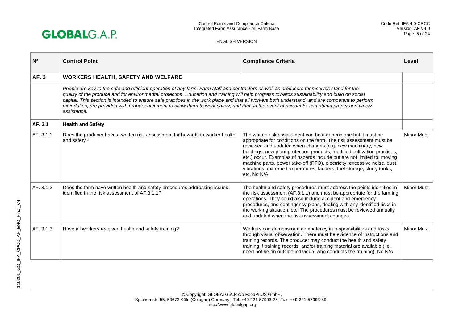

| N <sub>0</sub> | <b>Control Point</b>                                                                                                                                                                                                                                                                                                                                                                                                                                                                                                                                                                                            | <b>Compliance Criteria</b>                                                                                                                                                                                                                                                                                                                                                                                                                                                                                                         | Level             |
|----------------|-----------------------------------------------------------------------------------------------------------------------------------------------------------------------------------------------------------------------------------------------------------------------------------------------------------------------------------------------------------------------------------------------------------------------------------------------------------------------------------------------------------------------------------------------------------------------------------------------------------------|------------------------------------------------------------------------------------------------------------------------------------------------------------------------------------------------------------------------------------------------------------------------------------------------------------------------------------------------------------------------------------------------------------------------------------------------------------------------------------------------------------------------------------|-------------------|
| <b>AF.3</b>    | <b>WORKERS HEALTH, SAFETY AND WELFARE</b>                                                                                                                                                                                                                                                                                                                                                                                                                                                                                                                                                                       |                                                                                                                                                                                                                                                                                                                                                                                                                                                                                                                                    |                   |
|                | People are key to the safe and efficient operation of any farm. Farm staff and contractors as well as producers themselves stand for the<br>quality of the produce and for environmental protection. Education and training will help progress towards sustainability and build on social<br>capital. This section is intended to ensure safe practices in the work place and that all workers both understand, and are competent to perform<br>their duties; are provided with proper equipment to allow them to work safely; and that, in the event of accidents, can obtain proper and timely<br>assistance. |                                                                                                                                                                                                                                                                                                                                                                                                                                                                                                                                    |                   |
| AF. 3.1        | <b>Health and Safety</b>                                                                                                                                                                                                                                                                                                                                                                                                                                                                                                                                                                                        |                                                                                                                                                                                                                                                                                                                                                                                                                                                                                                                                    |                   |
| AF. 3.1.1      | Does the producer have a written risk assessment for hazards to worker health<br>and safety?                                                                                                                                                                                                                                                                                                                                                                                                                                                                                                                    | The written risk assessment can be a generic one but it must be<br>appropriate for conditions on the farm. The risk assessment must be<br>reviewed and updated when changes (e.g. new machinery, new<br>buildings, new plant protection products, modified cultivation practices,<br>etc.) occur. Examples of hazards include but are not limited to: moving<br>machine parts, power take-off (PTO), electricity, excessive noise, dust,<br>vibrations, extreme temperatures, ladders, fuel storage, slurry tanks,<br>etc. No N/A. | <b>Minor Must</b> |
| AF. 3.1.2      | Does the farm have written health and safety procedures addressing issues<br>identified in the risk assessment of AF.3.1.1?                                                                                                                                                                                                                                                                                                                                                                                                                                                                                     | The health and safety procedures must address the points identified in<br>the risk assessment (AF.3.1.1) and must be appropriate for the farming<br>operations. They could also include accident and emergency<br>procedures, and contingency plans, dealing with any identified risks in<br>the working situation, etc. The procedures must be reviewed annually<br>and updated when the risk assessment changes.                                                                                                                 | <b>Minor Must</b> |
| AF. 3.1.3      | Have all workers received health and safety training?                                                                                                                                                                                                                                                                                                                                                                                                                                                                                                                                                           | Workers can demonstrate competency in responsibilities and tasks<br>through visual observation. There must be evidence of instructions and<br>training records. The producer may conduct the health and safety<br>training if training records, and/or training material are available (i.e.<br>need not be an outside individual who conducts the training). No N/A.                                                                                                                                                              | <b>Minor Must</b> |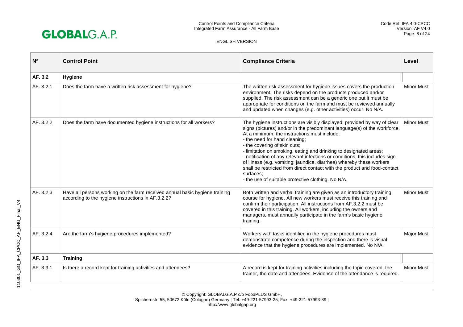

| N <sub>o</sub> | <b>Control Point</b>                                                                                                              | <b>Compliance Criteria</b>                                                                                                                                                                                                                                                                                                                                                                                                                                                                                                                                                                                                                        | Level             |
|----------------|-----------------------------------------------------------------------------------------------------------------------------------|---------------------------------------------------------------------------------------------------------------------------------------------------------------------------------------------------------------------------------------------------------------------------------------------------------------------------------------------------------------------------------------------------------------------------------------------------------------------------------------------------------------------------------------------------------------------------------------------------------------------------------------------------|-------------------|
| AF. 3.2        | Hygiene                                                                                                                           |                                                                                                                                                                                                                                                                                                                                                                                                                                                                                                                                                                                                                                                   |                   |
| AF. 3.2.1      | Does the farm have a written risk assessment for hygiene?                                                                         | The written risk assessment for hygiene issues covers the production<br>environment. The risks depend on the products produced and/or<br>supplied. The risk assessment can be a generic one but it must be<br>appropriate for conditions on the farm and must be reviewed annually<br>and updated when changes (e.g. other activities) occur. No N/A.                                                                                                                                                                                                                                                                                             | <b>Minor Must</b> |
| AF. 3.2.2      | Does the farm have documented hygiene instructions for all workers?                                                               | The hygiene instructions are visibly displayed: provided by way of clear<br>signs (pictures) and/or in the predominant language(s) of the workforce.<br>At a minimum, the instructions must include:<br>- the need for hand cleaning;<br>- the covering of skin cuts;<br>- limitation on smoking, eating and drinking to designated areas;<br>- notification of any relevant infections or conditions, this includes sign<br>of illness (e.g. vomiting; jaundice, diarrhea) whereby these workers<br>shall be restricted from direct contact with the product and food-contact<br>surfaces:<br>- the use of suitable protective clothing. No N/A. | <b>Minor Must</b> |
| AF. 3.2.3      | Have all persons working on the farm received annual basic hygiene training<br>according to the hygiene instructions in AF.3.2.2? | Both written and verbal training are given as an introductory training<br>course for hygiene. All new workers must receive this training and<br>confirm their participation. All instructions from AF.3.2.2 must be<br>covered in this training. All workers, including the owners and<br>managers, must annually participate in the farm's basic hygiene<br>training.                                                                                                                                                                                                                                                                            | <b>Minor Must</b> |
| AF. 3.2.4      | Are the farm's hygiene procedures implemented?                                                                                    | Workers with tasks identified in the hygiene procedures must<br>demonstrate competence during the inspection and there is visual<br>evidence that the hygiene procedures are implemented. No N/A.                                                                                                                                                                                                                                                                                                                                                                                                                                                 | <b>Major Must</b> |
| AF. 3.3        | <b>Training</b>                                                                                                                   |                                                                                                                                                                                                                                                                                                                                                                                                                                                                                                                                                                                                                                                   |                   |
| AF. 3.3.1      | Is there a record kept for training activities and attendees?                                                                     | A record is kept for training activities including the topic covered, the<br>trainer, the date and attendees. Evidence of the attendance is required.                                                                                                                                                                                                                                                                                                                                                                                                                                                                                             | <b>Minor Must</b> |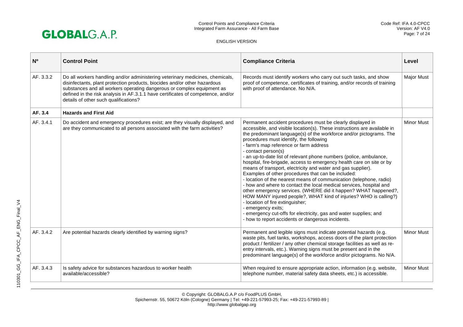

| N <sub>0</sub> | <b>Control Point</b>                                                                                                                                                                                                                                                                                                                                              | <b>Compliance Criteria</b>                                                                                                                                                                                                                                                                                                                                                                                                                                                                                                                                                                                                                                                                                                                                                                                                                                                                                                                                                                                                                                               | Level             |
|----------------|-------------------------------------------------------------------------------------------------------------------------------------------------------------------------------------------------------------------------------------------------------------------------------------------------------------------------------------------------------------------|--------------------------------------------------------------------------------------------------------------------------------------------------------------------------------------------------------------------------------------------------------------------------------------------------------------------------------------------------------------------------------------------------------------------------------------------------------------------------------------------------------------------------------------------------------------------------------------------------------------------------------------------------------------------------------------------------------------------------------------------------------------------------------------------------------------------------------------------------------------------------------------------------------------------------------------------------------------------------------------------------------------------------------------------------------------------------|-------------------|
| AF. 3.3.2      | Do all workers handling and/or administering veterinary medicines, chemicals,<br>disinfectants, plant protection products, biocides and/or other hazardous<br>substances and all workers operating dangerous or complex equipment as<br>defined in the risk analysis in AF.3.1.1 have certificates of competence, and/or<br>details of other such qualifications? | Records must identify workers who carry out such tasks, and show<br>proof of competence, certificates of training, and/or records of training<br>with proof of attendance. No N/A.                                                                                                                                                                                                                                                                                                                                                                                                                                                                                                                                                                                                                                                                                                                                                                                                                                                                                       | Major Must        |
| AF. 3.4        | <b>Hazards and First Aid</b>                                                                                                                                                                                                                                                                                                                                      |                                                                                                                                                                                                                                                                                                                                                                                                                                                                                                                                                                                                                                                                                                                                                                                                                                                                                                                                                                                                                                                                          |                   |
| AF. 3.4.1      | Do accident and emergency procedures exist; are they visually displayed, and<br>are they communicated to all persons associated with the farm activities?                                                                                                                                                                                                         | Permanent accident procedures must be clearly displayed in<br>accessible, and visible location(s). These instructions are available in<br>the predominant language(s) of the workforce and/or pictograms. The<br>procedures must identify, the following<br>- farm's map reference or farm address<br>- contact person(s)<br>- an up-to-date list of relevant phone numbers (police, ambulance,<br>hospital, fire-brigade, access to emergency health care on site or by<br>means of transport, electricity and water and gas supplier).<br>Examples of other procedures that can be included:<br>- location of the nearest means of communication (telephone, radio)<br>- how and where to contact the local medical services, hospital and<br>other emergency services. (WHERE did it happen? WHAT happened?,<br>HOW MANY injured people?, WHAT kind of injuries? WHO is calling?)<br>- location of fire extinguisher;<br>- emergency exits;<br>- emergency cut-offs for electricity, gas and water supplies; and<br>- how to report accidents or dangerous incidents. | <b>Minor Must</b> |
| AF. 3.4.2      | Are potential hazards clearly identified by warning signs?                                                                                                                                                                                                                                                                                                        | Permanent and legible signs must indicate potential hazards (e.g.<br>waste pits, fuel tanks, workshops, access doors of the plant protection<br>product / fertilizer / any other chemical storage facilities as well as re-<br>entry intervals, etc.). Warning signs must be present and in the<br>predominant language(s) of the workforce and/or pictograms. No N/A.                                                                                                                                                                                                                                                                                                                                                                                                                                                                                                                                                                                                                                                                                                   | <b>Minor Must</b> |
| AF. 3.4.3      | Is safety advice for substances hazardous to worker health<br>available/accessible?                                                                                                                                                                                                                                                                               | When required to ensure appropriate action, information (e.g. website,<br>telephone number, material safety data sheets, etc.) is accessible.                                                                                                                                                                                                                                                                                                                                                                                                                                                                                                                                                                                                                                                                                                                                                                                                                                                                                                                            | <b>Minor Must</b> |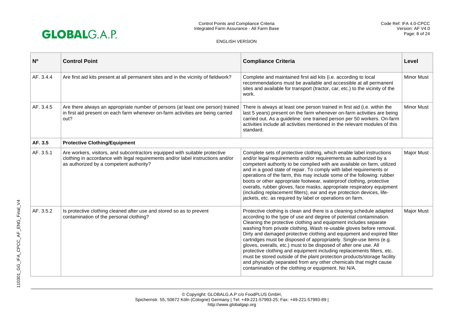

| N <sup>o</sup> | <b>Control Point</b>                                                                                                                                                                                      | <b>Compliance Criteria</b>                                                                                                                                                                                                                                                                                                                                                                                                                                                                                                                                                                                                                                                                                                                                                                         | Level             |
|----------------|-----------------------------------------------------------------------------------------------------------------------------------------------------------------------------------------------------------|----------------------------------------------------------------------------------------------------------------------------------------------------------------------------------------------------------------------------------------------------------------------------------------------------------------------------------------------------------------------------------------------------------------------------------------------------------------------------------------------------------------------------------------------------------------------------------------------------------------------------------------------------------------------------------------------------------------------------------------------------------------------------------------------------|-------------------|
| AF. 3.4.4      | Are first aid kits present at all permanent sites and in the vicinity of fieldwork?                                                                                                                       | Complete and maintained first aid kits (i.e. according to local<br>recommendations must be available and accessible at all permanent<br>sites and available for transport (tractor, car, etc.) to the vicinity of the<br>work.                                                                                                                                                                                                                                                                                                                                                                                                                                                                                                                                                                     | <b>Minor Must</b> |
| AF. 3.4.5      | Are there always an appropriate number of persons (at least one person) trained<br>in first aid present on each farm whenever on-farm activities are being carried<br>out?                                | There is always at least one person trained in first aid (i.e. within the<br>last 5 years) present on the farm whenever on-farm activities are being<br>carried out. As a guideline: one trained person per 50 workers. On-farm<br>activities include all activities mentioned in the relevant modules of this<br>standard.                                                                                                                                                                                                                                                                                                                                                                                                                                                                        | <b>Minor Must</b> |
| AF. 3.5        | <b>Protective Clothing/Equipment</b>                                                                                                                                                                      |                                                                                                                                                                                                                                                                                                                                                                                                                                                                                                                                                                                                                                                                                                                                                                                                    |                   |
| AF. 3.5.1      | Are workers, visitors, and subcontractors equipped with suitable protective<br>clothing in accordance with legal requirements and/or label instructions and/or<br>as authorized by a competent authority? | Complete sets of protective clothing, which enable label instructions<br>and/or legal requirements and/or requirements as authorized by a<br>competent authority to be complied with are available on farm, utilized<br>and in a good state of repair. To comply with label requirements or<br>operations of the farm, this may include some of the following: rubber<br>boots or other appropriate footwear, waterproof clothing, protective<br>overalls, rubber gloves, face masks, appropriate respiratory equipment<br>(including replacement filters), ear and eye protection devices, life-<br>jackets, etc. as required by label or operations on farm.                                                                                                                                     | <b>Major Must</b> |
| AF. 3.5.2      | Is protective clothing cleaned after use and stored so as to prevent<br>contamination of the personal clothing?                                                                                           | Protective clothing is clean and there is a cleaning schedule adapted<br>according to the type of use and degree of potential contamination.<br>Cleaning the protective clothing and equipment includes separate<br>washing from private clothing. Wash re-usable gloves before removal.<br>Dirty and damaged protective clothing and equipment and expired filter<br>cartridges must be disposed of appropriately. Single-use items (e.g.<br>gloves, overalls, etc.) must to be disposed of after one use. All<br>protective clothing and equipment including replacements filters, etc.<br>must be stored outside of the plant protection products/storage facility<br>and physically separated from any other chemicals that might cause<br>contamination of the clothing or equipment. No N/A. | <b>Major Must</b> |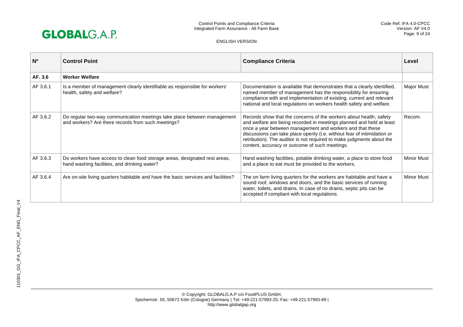

| N <sub>0</sub> | <b>Control Point</b>                                                                                                          | <b>Compliance Criteria</b>                                                                                                                                                                                                                                                                                                                                                                                    | Level             |
|----------------|-------------------------------------------------------------------------------------------------------------------------------|---------------------------------------------------------------------------------------------------------------------------------------------------------------------------------------------------------------------------------------------------------------------------------------------------------------------------------------------------------------------------------------------------------------|-------------------|
| AF. 3.6        | <b>Worker Welfare</b>                                                                                                         |                                                                                                                                                                                                                                                                                                                                                                                                               |                   |
| AF 3.6.1       | Is a member of management clearly identifiable as responsible for workers'<br>health, safety and welfare?                     | Documentation is available that demonstrates that a clearly identified,<br>named member of management has the responsibility for ensuring<br>compliance with and implementation of existing, current and relevant<br>national and local regulations on workers health safety and welfare.                                                                                                                     | Major Must        |
| AF 3.6.2       | Do regular two-way communication meetings take place between management<br>and workers? Are there records from such meetings? | Records show that the concerns of the workers about health, safety<br>and welfare are being recorded in meetings planned and held at least<br>once a year between management and workers and that these<br>discussions can take place openly (i.e. without fear of intimidation or<br>retribution). The auditor is not required to make judgments about the<br>content, accuracy or outcome of such meetings. | Recom.            |
| AF 3.6.3       | Do workers have access to clean food storage areas, designated rest areas,<br>hand washing facilities, and drinking water?    | Hand washing facilities, potable drinking water, a place to store food<br>and a place to eat must be provided to the workers.                                                                                                                                                                                                                                                                                 | <b>Minor Must</b> |
| AF 3.6.4       | Are on-site living quarters habitable and have the basic services and facilities?                                             | The on farm living quarters for the workers are habitable and have a<br>sound roof, windows and doors, and the basic services of running<br>water, toilets, and drains. In case of no drains, septic pits can be<br>accepted if compliant with local regulations.                                                                                                                                             | <b>Minor Must</b> |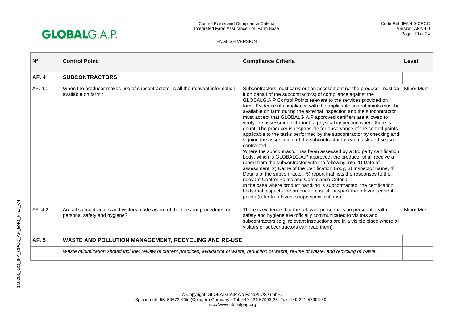

| N <sub>0</sub> | <b>Control Point</b>                                                                                                                             | <b>Compliance Criteria</b>                                                                                                                                                                                                                                                                                                                                                                                                                                                                                                                                                                                                                                                                                                                                                                                                                                                                                                                                                                                                                                                                                                                                                                                                                                                                                                                                                              | Level             |
|----------------|--------------------------------------------------------------------------------------------------------------------------------------------------|-----------------------------------------------------------------------------------------------------------------------------------------------------------------------------------------------------------------------------------------------------------------------------------------------------------------------------------------------------------------------------------------------------------------------------------------------------------------------------------------------------------------------------------------------------------------------------------------------------------------------------------------------------------------------------------------------------------------------------------------------------------------------------------------------------------------------------------------------------------------------------------------------------------------------------------------------------------------------------------------------------------------------------------------------------------------------------------------------------------------------------------------------------------------------------------------------------------------------------------------------------------------------------------------------------------------------------------------------------------------------------------------|-------------------|
| <b>AF.4</b>    | <b>SUBCONTRACTORS</b>                                                                                                                            |                                                                                                                                                                                                                                                                                                                                                                                                                                                                                                                                                                                                                                                                                                                                                                                                                                                                                                                                                                                                                                                                                                                                                                                                                                                                                                                                                                                         |                   |
| AF. 4.1        | When the producer makes use of subcontractors, is all the relevant information<br>available on farm?                                             | Subcontractors must carry out an assessment (or the producer must do<br>it on behalf of the subcontractors) of compliance against the<br>GLOBALG.A.P Control Points relevant to the services provided on<br>farm. Evidence of compliance with the applicable control points must be<br>available on farm during the external inspection and the subcontractor<br>must accept that GLOBALG.A.P approved certifiers are allowed to<br>verify the assessments through a physical inspection where there is<br>doubt. The producer is responsible for observance of the control points<br>applicable to the tasks performed by the subcontractor by checking and<br>signing the assessment of the subcontractor for each task and season<br>contracted.<br>Where the subcontractor has been assessed by a 3rd party certification<br>body, which is GLOBALG.A.P approved, the producer shall receive a<br>report from the subcontractor with the following info: 1) Date of<br>assessment, 2) Name of the Certification Body, 3) Inspector name, 4)<br>Details of the subcontractor, 5) report that lists the responses to the<br>relevant Control Points and Compliance Criteria.<br>In the case where product handling is subcontracted, the certification<br>body that inspects the producer must still inspect the relevant control<br>points (refer to relevant scope specifications). | <b>Minor Must</b> |
| AF. 4.2        | Are all subcontractors and visitors made aware of the relevant procedures on<br>personal safety and hygiene?                                     | There is evidence that the relevant procedures on personal health,<br>safety and hygiene are officially communicated to visitors and<br>subcontractors (e.g. relevant instructions are in a visible place where all<br>visitors or subcontractors can read them).                                                                                                                                                                                                                                                                                                                                                                                                                                                                                                                                                                                                                                                                                                                                                                                                                                                                                                                                                                                                                                                                                                                       | <b>Minor Must</b> |
| <b>AF.5</b>    | WASTE AND POLLUTION MANAGEMENT, RECYCLING AND RE-USE                                                                                             |                                                                                                                                                                                                                                                                                                                                                                                                                                                                                                                                                                                                                                                                                                                                                                                                                                                                                                                                                                                                                                                                                                                                                                                                                                                                                                                                                                                         |                   |
|                | Waste minimization should include: review of current practices, avoidance of waste, reduction of waste, re-use of waste, and recycling of waste. |                                                                                                                                                                                                                                                                                                                                                                                                                                                                                                                                                                                                                                                                                                                                                                                                                                                                                                                                                                                                                                                                                                                                                                                                                                                                                                                                                                                         |                   |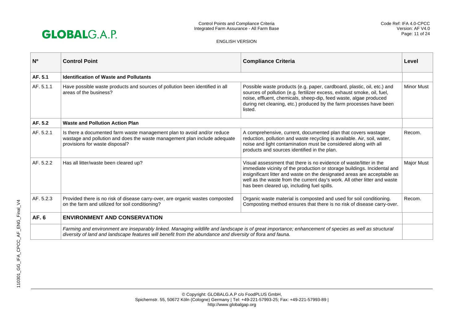

| <b>N°</b> | <b>Control Point</b>                                                                                                                                                                                                                                               | <b>Compliance Criteria</b>                                                                                                                                                                                                                                                                                                                              | Level             |
|-----------|--------------------------------------------------------------------------------------------------------------------------------------------------------------------------------------------------------------------------------------------------------------------|---------------------------------------------------------------------------------------------------------------------------------------------------------------------------------------------------------------------------------------------------------------------------------------------------------------------------------------------------------|-------------------|
| AF. 5.1   | <b>Identification of Waste and Pollutants</b>                                                                                                                                                                                                                      |                                                                                                                                                                                                                                                                                                                                                         |                   |
| AF. 5.1.1 | Have possible waste products and sources of pollution been identified in all<br>areas of the business?                                                                                                                                                             | Possible waste products (e.g. paper, cardboard, plastic, oil, etc.) and<br>sources of pollution (e.g. fertilizer excess, exhaust smoke, oil, fuel,<br>noise, effluent, chemicals, sheep-dip, feed waste, algae produced<br>during net cleaning, etc.) produced by the farm processes have been<br>listed.                                               | <b>Minor Must</b> |
| AF. 5.2   | <b>Waste and Pollution Action Plan</b>                                                                                                                                                                                                                             |                                                                                                                                                                                                                                                                                                                                                         |                   |
| AF. 5.2.1 | Is there a documented farm waste management plan to avoid and/or reduce<br>wastage and pollution and does the waste management plan include adequate<br>provisions for waste disposal?                                                                             | A comprehensive, current, documented plan that covers wastage<br>reduction, pollution and waste recycling is available. Air, soil, water,<br>noise and light contamination must be considered along with all<br>products and sources identified in the plan.                                                                                            | Recom.            |
| AF. 5.2.2 | Has all litter/waste been cleared up?                                                                                                                                                                                                                              | Visual assessment that there is no evidence of waste/litter in the<br>immediate vicinity of the production or storage buildings. Incidental and<br>insignificant litter and waste on the designated areas are acceptable as<br>well as the waste from the current day's work. All other litter and waste<br>has been cleared up, including fuel spills. | <b>Major Must</b> |
| AF. 5.2.3 | Provided there is no risk of disease carry-over, are organic wastes composted<br>on the farm and utilized for soil conditioning?                                                                                                                                   | Organic waste material is composted and used for soil conditioning.<br>Composting method ensures that there is no risk of disease carry-over.                                                                                                                                                                                                           | Recom.            |
| AF. 6     | <b>ENVIRONMENT AND CONSERVATION</b>                                                                                                                                                                                                                                |                                                                                                                                                                                                                                                                                                                                                         |                   |
|           | Farming and environment are inseparably linked. Managing wildlife and landscape is of great importance; enhancement of species as well as structural<br>diversity of land and landscape features will benefit from the abundance and diversity of flora and fauna. |                                                                                                                                                                                                                                                                                                                                                         |                   |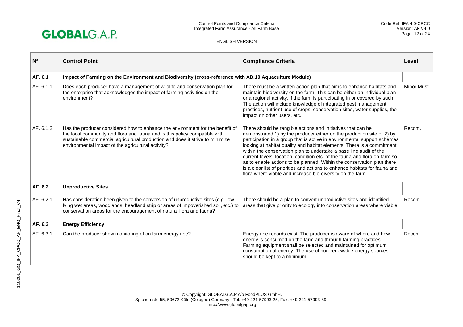

| N <sub>0</sub> | <b>Control Point</b>                                                                                                                                                                                                                                                                               | <b>Compliance Criteria</b>                                                                                                                                                                                                                                                                                                                                                                                                                                                                                                                                                                                                                                              | Level             |
|----------------|----------------------------------------------------------------------------------------------------------------------------------------------------------------------------------------------------------------------------------------------------------------------------------------------------|-------------------------------------------------------------------------------------------------------------------------------------------------------------------------------------------------------------------------------------------------------------------------------------------------------------------------------------------------------------------------------------------------------------------------------------------------------------------------------------------------------------------------------------------------------------------------------------------------------------------------------------------------------------------------|-------------------|
| AF. 6.1        | Impact of Farming on the Environment and Biodiversity (cross-reference with AB.10 Aquaculture Module)                                                                                                                                                                                              |                                                                                                                                                                                                                                                                                                                                                                                                                                                                                                                                                                                                                                                                         |                   |
| AF. 6.1.1      | Does each producer have a management of wildlife and conservation plan for<br>the enterprise that acknowledges the impact of farming activities on the<br>environment?                                                                                                                             | There must be a written action plan that aims to enhance habitats and<br>maintain biodiversity on the farm. This can be either an individual plan<br>or a regional activity, if the farm is participating in or covered by such.<br>The action will include knowledge of integrated pest management<br>practices, nutrient use of crops, conservation sites, water supplies, the<br>impact on other users, etc.                                                                                                                                                                                                                                                         | <b>Minor Must</b> |
| AF. 6.1.2      | Has the producer considered how to enhance the environment for the benefit of<br>the local community and flora and fauna and is this policy compatible with<br>sustainable commercial agricultural production and does it strive to minimize<br>environmental impact of the agricultural activity? | There should be tangible actions and initiatives that can be<br>demonstrated 1) by the producer either on the production site or 2) by<br>participation in a group that is active in environmental support schemes<br>looking at habitat quality and habitat elements. There is a commitment<br>within the conservation plan to undertake a base line audit of the<br>current levels, location, condition etc. of the fauna and flora on farm so<br>as to enable actions to be planned. Within the conservation plan there<br>is a clear list of priorities and actions to enhance habitats for fauna and<br>flora where viable and increase bio-diversity on the farm. | Recom.            |
| AF. 6.2        | <b>Unproductive Sites</b>                                                                                                                                                                                                                                                                          |                                                                                                                                                                                                                                                                                                                                                                                                                                                                                                                                                                                                                                                                         |                   |
| AF. 6.2.1      | Has consideration been given to the conversion of unproductive sites (e.g. low<br>lying wet areas, woodlands, headland strip or areas of impoverished soil, etc.) to<br>conservation areas for the encouragement of natural flora and fauna?                                                       | There should be a plan to convert unproductive sites and identified<br>areas that give priority to ecology into conservation areas where viable.                                                                                                                                                                                                                                                                                                                                                                                                                                                                                                                        | Recom.            |
| AF. 6.3        | <b>Energy Efficiency</b>                                                                                                                                                                                                                                                                           |                                                                                                                                                                                                                                                                                                                                                                                                                                                                                                                                                                                                                                                                         |                   |
| AF. 6.3.1      | Can the producer show monitoring of on farm energy use?                                                                                                                                                                                                                                            | Energy use records exist. The producer is aware of where and how<br>energy is consumed on the farm and through farming practices.<br>Farming equipment shall be selected and maintained for optimum<br>consumption of energy. The use of non-renewable energy sources<br>should be kept to a minimum.                                                                                                                                                                                                                                                                                                                                                                   | Recom.            |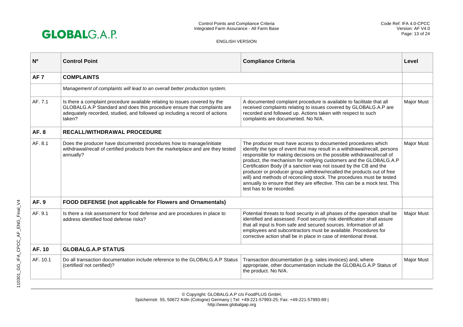

| N <sup>o</sup>  | <b>Control Point</b>                                                                                                                                                                                                                           | <b>Compliance Criteria</b>                                                                                                                                                                                                                                                                                                                                                                                                                                                                                                                                                                                                 | Level             |
|-----------------|------------------------------------------------------------------------------------------------------------------------------------------------------------------------------------------------------------------------------------------------|----------------------------------------------------------------------------------------------------------------------------------------------------------------------------------------------------------------------------------------------------------------------------------------------------------------------------------------------------------------------------------------------------------------------------------------------------------------------------------------------------------------------------------------------------------------------------------------------------------------------------|-------------------|
| AF <sub>7</sub> | <b>COMPLAINTS</b>                                                                                                                                                                                                                              |                                                                                                                                                                                                                                                                                                                                                                                                                                                                                                                                                                                                                            |                   |
|                 | Management of complaints will lead to an overall better production system.                                                                                                                                                                     |                                                                                                                                                                                                                                                                                                                                                                                                                                                                                                                                                                                                                            |                   |
| AF. 7.1         | Is there a complaint procedure available relating to issues covered by the<br>GLOBALG.A.P Standard and does this procedure ensure that complaints are<br>adequately recorded, studied, and followed up including a record of actions<br>taken? | A documented complaint procedure is available to facilitate that all<br>received complaints relating to issues covered by GLOBALG.A.P are<br>recorded and followed up. Actions taken with respect to such<br>complaints are documented. No N/A.                                                                                                                                                                                                                                                                                                                                                                            | <b>Major Must</b> |
| <b>AF.8</b>     | <b>RECALL/WITHDRAWAL PROCEDURE</b>                                                                                                                                                                                                             |                                                                                                                                                                                                                                                                                                                                                                                                                                                                                                                                                                                                                            |                   |
| AF. 8.1         | Does the producer have documented procedures how to manage/initiate<br>withdrawal/recall of certified products from the marketplace and are they tested<br>annually?                                                                           | The producer must have access to documented procedures which<br>identify the type of event that may result in a withdrawal/recall, persons<br>responsible for making decisions on the possible withdrawal/recall of<br>product, the mechanism for notifying customers and the GLOBALG.A.P<br>Certification Body (if a sanction was not issued by the CB and the<br>producer or producer group withdrew/recalled the products out of free<br>will) and methods of reconciling stock. The procedures must be tested<br>annually to ensure that they are effective. This can be a mock test. This<br>test has to be recorded. | <b>Major Must</b> |
| <b>AF. 9</b>    | FOOD DEFENSE (not applicable for Flowers and Ornamentals)                                                                                                                                                                                      |                                                                                                                                                                                                                                                                                                                                                                                                                                                                                                                                                                                                                            |                   |
| AF. 9.1         | Is there a risk assessment for food defense and are procedures in place to<br>address identified food defense risks?                                                                                                                           | Potential threats to food security in all phases of the operation shall be<br>identified and assessed. Food security risk identification shall assure<br>that all input is from safe and secured sources. Information of all<br>employees and subcontractors must be available. Procedures for<br>corrective action shall be in place in case of intentional threat.                                                                                                                                                                                                                                                       | Major Must        |
| AF. 10          | <b>GLOBALG.A.P STATUS</b>                                                                                                                                                                                                                      |                                                                                                                                                                                                                                                                                                                                                                                                                                                                                                                                                                                                                            |                   |
| AF. 10.1        | Do all transaction documentation include reference to the GLOBALG.A.P Status<br>(certified/ not certified)?                                                                                                                                    | Transaction documentation (e.g. sales invoices) and, where<br>appropriate, other documentation include the GLOBALG.A.P Status of<br>the product. No N/A.                                                                                                                                                                                                                                                                                                                                                                                                                                                                   | Major Must        |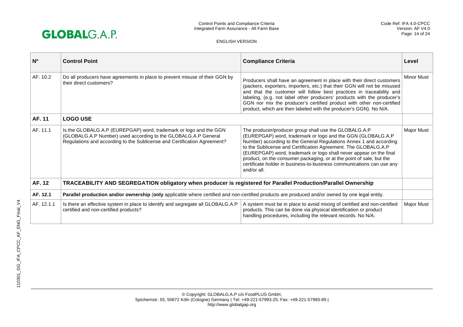

| N <sup>o</sup> | <b>Control Point</b>                                                                                                                                                                                            | <b>Compliance Criteria</b>                                                                                                                                                                                                                                                                                                                                                                                                                                                                         | Level             |
|----------------|-----------------------------------------------------------------------------------------------------------------------------------------------------------------------------------------------------------------|----------------------------------------------------------------------------------------------------------------------------------------------------------------------------------------------------------------------------------------------------------------------------------------------------------------------------------------------------------------------------------------------------------------------------------------------------------------------------------------------------|-------------------|
| AF. 10.2       | Do all producers have agreements in place to prevent misuse of their GGN by<br>their direct customers?                                                                                                          | Producers shall have an agreement in place with their direct customers<br>(packers, exporters, importers, etc.) that their GGN will not be misused<br>and that the customer will follow best practices in traceability and<br>labeling, (e.g. not label other producers' products with the producer's<br>GGN nor mix the producer's certified product with other non-certified<br>product, which are then labeled with the producer's GGN). No N/A.                                                | <b>Minor Must</b> |
| AF. 11         | <b>LOGO USE</b>                                                                                                                                                                                                 |                                                                                                                                                                                                                                                                                                                                                                                                                                                                                                    |                   |
| AF. 11.1       | Is the GLOBALG.A.P (EUREPGAP) word, trademark or logo and the GGN<br>(GLOBALG.A.P Number) used according to the GLOBALG.A.P General<br>Regulations and according to the Sublicense and Certification Agreement? | The producer/producer group shall use the GLOBALG.A.P<br>(EUREPGAP) word, trademark or logo and the GGN (GLOBALG.A.P<br>Number) according to the General Regulations Annex 1 and according<br>to the Sublicense and Certification Agreement. The GLOBALG.A.P<br>(EUREPGAP) word, trademark or logo shall never appear on the final<br>product, on the consumer packaging, or at the point of sale, but the<br>certificate holder in business-to-business communications can use any<br>and/or all. | Major Must        |
| AF. 12         | TRACEABILITY AND SEGREGATION obligatory when producer is registered for Parallel Production/Parallel Ownership                                                                                                  |                                                                                                                                                                                                                                                                                                                                                                                                                                                                                                    |                   |
| AF. 12.1       | Parallel production and/or ownership (only applicable where certified and non-certified products are produced and/or owned by one legal entity.                                                                 |                                                                                                                                                                                                                                                                                                                                                                                                                                                                                                    |                   |
| AF. 12.1.1     | Is there an effective system in place to identify and segregate all GLOBALG.A.P<br>certified and non-certified products?                                                                                        | A system must be in place to avoid mixing of certified and non-certified<br>products. This can be done via physical identification or product<br>handling procedures, including the relevant records. No N/A.                                                                                                                                                                                                                                                                                      | Major Must        |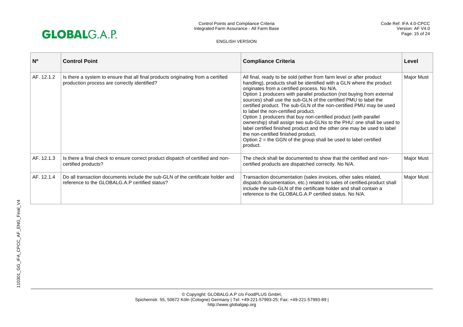

| $N^{\circ}$ | <b>Control Point</b>                                                                                                             | <b>Compliance Criteria</b>                                                                                                                                                                                                                                                                                                                                                                                                                                                                                                                                                                                                                                                                                                                                                                               | Level             |
|-------------|----------------------------------------------------------------------------------------------------------------------------------|----------------------------------------------------------------------------------------------------------------------------------------------------------------------------------------------------------------------------------------------------------------------------------------------------------------------------------------------------------------------------------------------------------------------------------------------------------------------------------------------------------------------------------------------------------------------------------------------------------------------------------------------------------------------------------------------------------------------------------------------------------------------------------------------------------|-------------------|
| AF. 12.1.2  | Is there a system to ensure that all final products originating from a certified<br>production process are correctly identified? | All final, ready to be sold (either from farm level or after product<br>handling), products shall be identified with a GLN where the product<br>originates from a certified process. No N/A.<br>Option 1 producers with parallel production (not buying from external<br>sources) shall use the sub-GLN of the certified PMU to label the<br>certified product. The sub-GLN of the non-certified PMU may be used<br>to label the non-certified product.<br>Option 1 producers that buy non-certified product (with parallel<br>ownership) shall assign two sub-GLNs to the PHU: one shall be used to<br>label certified finished product and the other one may be used to label<br>the non-certified finished product.<br>Option $2$ = the GGN of the group shall be used to label certified<br>product. | <b>Major Must</b> |
| AF. 12.1.3  | Is there a final check to ensure correct product dispatch of certified and non-<br>certified products?                           | The check shall be documented to show that the certified and non-<br>certified products are dispatched correctly. No N/A.                                                                                                                                                                                                                                                                                                                                                                                                                                                                                                                                                                                                                                                                                | <b>Major Must</b> |
| AF. 12.1.4  | Do all transaction documents include the sub-GLN of the certificate holder and<br>reference to the GLOBALG.A.P certified status? | Transaction documentation (sales invoices, other sales related,<br>dispatch documentation, etc.) related to sales of certified-product shall<br>include the sub-GLN of the certificate holder and shall contain a<br>reference to the GLOBALG.A.P certified status. No N/A.                                                                                                                                                                                                                                                                                                                                                                                                                                                                                                                              | Major Must        |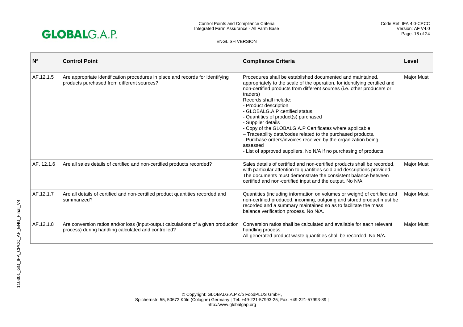

| N <sub>0</sub> | <b>Control Point</b>                                                                                                                      | <b>Compliance Criteria</b>                                                                                                                                                                                                                                                                                                                                                                                                                                                                                                                                                                                                                                       | Level             |
|----------------|-------------------------------------------------------------------------------------------------------------------------------------------|------------------------------------------------------------------------------------------------------------------------------------------------------------------------------------------------------------------------------------------------------------------------------------------------------------------------------------------------------------------------------------------------------------------------------------------------------------------------------------------------------------------------------------------------------------------------------------------------------------------------------------------------------------------|-------------------|
| AF.12.1.5      | Are appropriate identification procedures in place and records for identifying<br>products purchased from different sources?              | Procedures shall be established documented and maintained.<br>appropriately to the scale of the operation, for identifying certified and<br>non-certified products from different sources (i.e. other producers or<br>traders)<br>Records shall include:<br>- Product description<br>- GLOBALG.A.P certified status.<br>- Quantities of product(s) purchased<br>- Supplier details<br>- Copy of the GLOBALG.A.P Certificates where applicable<br>- Traceability data/codes related to the purchased products,<br>- Purchase orders/invoices received by the organization being<br>assessed<br>- List of approved suppliers. No N/A if no purchasing of products. | <b>Major Must</b> |
| AF. 12.1.6     | Are all sales details of certified and non-certified products recorded?                                                                   | Sales details of certified and non-certified products shall be recorded,<br>with particular attention to quantities sold and descriptions provided.<br>The documents must demonstrate the consistent balance between<br>certified and non-certified input and the output. No N/A.                                                                                                                                                                                                                                                                                                                                                                                | <b>Major Must</b> |
| AF.12.1.7      | Are all details of certified and non-certified product quantities recorded and<br>summarized?                                             | Quantities (including information on volumes or weight) of certified and<br>non-certified produced, incoming, outgoing and stored product must be<br>recorded and a summary maintained so as to facilitate the mass<br>balance verification process. No N/A.                                                                                                                                                                                                                                                                                                                                                                                                     | Major Must        |
| AF.12.1.8      | Are conversion ratios and/or loss (input-output calculations of a given production<br>process) during handling calculated and controlled? | Conversion ratios shall be calculated and available for each relevant<br>handling process.<br>All generated product waste quantities shall be recorded. No N/A.                                                                                                                                                                                                                                                                                                                                                                                                                                                                                                  | <b>Major Must</b> |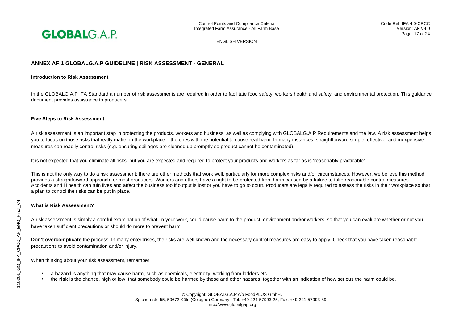

# **ANNEX AF.1 GLOBALG.A.P GUIDELINE | RISK ASSESSMENT - GENERAL**

#### **Introduction to Risk Assessment**

In the GLOBALG.A.P IFA Standard a number of risk assessments are required in order to facilitate food safety, workers health and safety, and environmental protection. This guidance document provides assistance to producers.

#### **Five Steps to Risk Assessment**

A risk assessment is an important step in protecting the products, workers and business, as well as complying with GLOBALG.A.P Requirements and the law. A risk assessment helps you to focus on those risks that really matter in the workplace – the ones with the potential to cause real harm. In many instances, straightforward simple, effective, and inexpensive measures can readily control risks (e.g. ensuring spillages are cleaned up promptly so product cannot be contaminated).

It is not expected that you eliminate all risks, but you are expected and required to protect your products and workers as far as is 'reasonably practicable'.

This is not the only way to do a risk assessment; there are other methods that work well, particularly for more complex risks and/or circumstances. However, we believe this method provides a straightforward approach for most producers. Workers and others have a right to be protected from harm caused by a failure to take reasonable control measures. Accidents and ill health can ruin lives and affect the business too if output is lost or you have to go to court. Producers are legally required to assess the risks in their workplace so that a plan to control the risks can be put in place.

#### **What is Risk Assessment?**

A risk assessment is simply a careful examination of what, in your work, could cause harm to the product, environment and/or workers, so that you can evaluate whether or not you have taken sufficient precautions or should do more to prevent harm.

**Don't overcomplicate** the process. In many enterprises, the risks are well known and the necessary control measures are easy to apply. Check that you have taken reasonable precautions to avoid contamination and/or injury.

When thinking about your risk assessment, remember:

- a **hazard** is anything that may cause harm, such as chemicals, electricity, working from ladders etc.;
- the **risk** is the chance, high or low, that somebody could be harmed by these and other hazards, together with an indication of how serious the harm could be.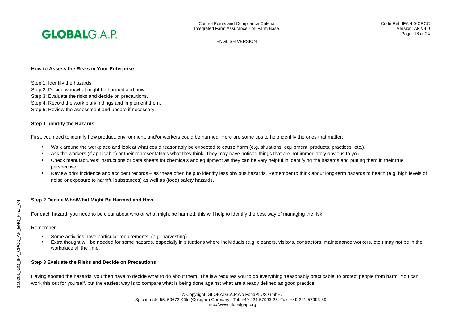

#### **How to Assess the Risks in Your Enterprise**

Step 1: Identify the hazards.

- Step 2: Decide who/what might be harmed and how.
- Step 3: Evaluate the risks and decide on precautions.
- Step 4: Record the work plan/findings and implement them.
- Step 5: Review the assessment and update if necessary.

#### **Step 1 Identify the Hazards**

First, you need to identify how product, environment, and/or workers could be harmed. Here are some tips to help identify the ones that matter:

- Walk around the workplace and look at what could reasonably be expected to cause harm (e.g. situations, equipment, products, practices, etc.).
- Ask the workers (if applicable) or their representatives what they think. They may have noticed things that are not immediately obvious to you.
- Check manufacturers' instructions or data sheets for chemicals and equipment as they can be very helpful in identifying the hazards and putting them in their true perspective.
- Review prior incidence and accident records as these often help to identify less obvious hazards. Remember to think about long-term hazards to health (e.g. high levels of noise or exposure to harmful substances) as well as (food) safety hazards.

# **Step 2 Decide Who/What Might Be Harmed and How**

For each hazard, you need to be clear about who or what might be harmed; this will help to identify the best way of managing the risk.

#### Remember:

- Some activities have particular requirements, (e.g. harvesting).
- Extra thought will be needed for some hazards, especially in situations where individuals (e.g. cleaners, visitors, contractors, maintenance workers, etc.) may not be in the workplace all the time.

# **Step 3 Evaluate the Risks and Decide on Precautions**

Having spotted the hazards, you then have to decide what to do about them. The law requires you to do everything 'reasonably practicable' to protect people from harm. You can work this out for yourself, but the easiest way is to compare what is being done against what are already defined as good practice.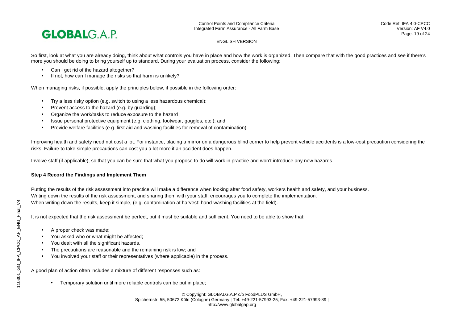

So first, look at what you are already doing, think about what controls you have in place and how the work is organized. Then compare that with the good practices and see if there's more you should be doing to bring yourself up to standard. During your evaluation process, consider the following:

- Can I get rid of the hazard altogether?
- If not, how can I manage the risks so that harm is unlikely?

When managing risks, if possible, apply the principles below, if possible in the following order:

- Try a less risky option (e.g. switch to using a less hazardous chemical);
- Prevent access to the hazard (e.g. by guarding);
- Organize the work/tasks to reduce exposure to the hazard ;
- Issue personal protective equipment (e.g. clothing, footwear, goggles, etc.); and
- Provide welfare facilities (e.g. first aid and washing facilities for removal of contamination).

Improving health and safety need not cost a lot. For instance, placing a mirror on a dangerous blind corner to help prevent vehicle accidents is a low-cost precaution considering the risks. Failure to take simple precautions can cost you a lot more if an accident does happen.

Involve staff (if applicable), so that you can be sure that what you propose to do will work in practice and won't introduce any new hazards.

# **Step 4 Record the Findings and Implement Them**

Putting the results of the risk assessment into practice will make a difference when looking after food safety, workers health and safety, and your business. Writing down the results of the risk assessment, and sharing them with your staff, encourages you to complete the implementation. When writing down the results, keep it simple, (e.g. contamination at harvest: hand-washing facilities at the field).

It is not expected that the risk assessment be perfect, but it must be suitable and sufficient. You need to be able to show that:

- A proper check was made;
- You asked who or what might be affected;
- You dealt with all the significant hazards,
- The precautions are reasonable and the remaining risk is low; and
- You involved your staff or their representatives (where applicable) in the process.

A good plan of action often includes a mixture of different responses such as:

• Temporary solution until more reliable controls can be put in place;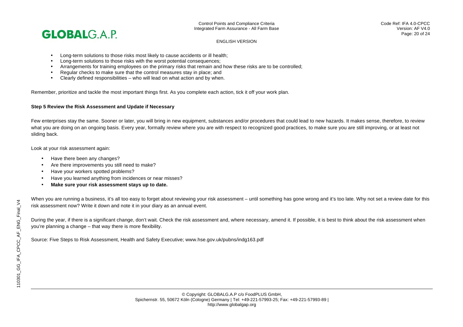

Control Points and Compliance Criteria Integrated Farm Assurance - All Farm Base

ENGLISH VERSION

- Long-term solutions to those risks most likely to cause accidents or ill health;
- Long-term solutions to those risks with the worst potential consequences;
- Arrangements for training employees on the primary risks that remain and how these risks are to be controlled;
- Regular checks to make sure that the control measures stay in place; and
- Clearly defined responsibilities who will lead on what action and by when.

Remember, prioritize and tackle the most important things first. As you complete each action, tick it off your work plan.

#### **Step 5 Review the Risk Assessment and Update if Necessary**

Few enterprises stay the same. Sooner or later, you will bring in new equipment, substances and/or procedures that could lead to new hazards. It makes sense, therefore, to review what you are doing on an ongoing basis. Every year, formally review where you are with respect to recognized good practices, to make sure you are still improving, or at least not sliding back.

Look at your risk assessment again:

- Have there been any changes?
- Are there improvements you still need to make?
- Have your workers spotted problems?
- Have you learned anything from incidences or near misses?
- **Make sure your risk assessment stays up to date.**

When you are running a business, it's all too easy to forget about reviewing your risk assessment – until something has gone wrong and it's too late. Why not set a review date for this risk assessment now? Write it down and note it in your diary as an annual event.

During the year, if there is a significant change, don't wait. Check the risk assessment and, where necessary, amend it. If possible, it is best to think about the risk assessment when you're planning a change – that way there is more flexibility.

Source: Five Steps to Risk Assessment, Health and Safety Executive; www.hse.gov.uk/pubns/indg163.pdf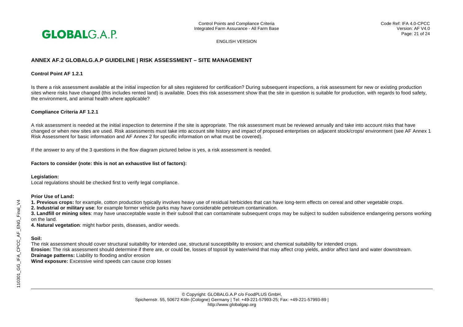

# **ANNEX AF.2 GLOBALG.A.P GUIDELINE | RISK ASSESSMENT – SITE MANAGEMENT**

#### **Control Point AF 1.2.1**

Is there a risk assessment available at the initial inspection for all sites registered for certification? During subsequent inspections, a risk assessment for new or existing production sites where risks have changed (this includes rented land) is available. Does this risk assessment show that the site in question is suitable for production, with regards to food safety, the environment, and animal health where applicable?

#### **Compliance Criteria AF 1.2.1**

A risk assessment is needed at the initial inspection to determine if the site is appropriate. The risk assessment must be reviewed annually and take into account risks that have changed or when new sites are used. Risk assessments must take into account site history and impact of proposed enterprises on adjacent stock/crops/ environment (see AF Annex 1 Risk Assessment for basic information and AF Annex 2 for specific information on what must be covered).

If the answer to any of the 3 questions in the flow diagram pictured below is yes, a risk assessment is needed.

#### **Factors to consider (note: this is not an exhaustive list of factors):**

#### **Legislation:**

Local regulations should be checked first to verify legal compliance.

#### **Prior Use of Land:**

**1. Previous crops:** for example, cotton production typically involves heavy use of residual herbicides that can have long-term effects on cereal and other vegetable crops.

**2. Industrial or military use**: for example former vehicle parks may have considerable petroleum contamination.

**3. Landfill or mining sites**: may have unacceptable waste in their subsoil that can contaminate subsequent crops may be subject to sudden subsidence endangering persons working on the land.

**4. Natural vegetation**: might harbor pests, diseases, and/or weeds.

# **Soil:**

The risk assessment should cover structural suitability for intended use, structural susceptibility to erosion; and chemical suitability for intended crops. **Erosion:** The risk assessment should determine if there are, or could be, losses of topsoil by water/wind that may affect crop yields, and/or affect land and water downstream.

**Drainage patterns:** Liability to flooding and/or erosion

**Wind exposure:** Excessive wind speeds can cause crop losses

© Copyright: GLOBALG.A.P c/o FoodPLUS GmbH, Spichernstr. 55, 50672 Köln (Cologne) Germany | Tel: +49-221-57993-25; Fax: +49-221-57993-89 | http://www.globalgap.org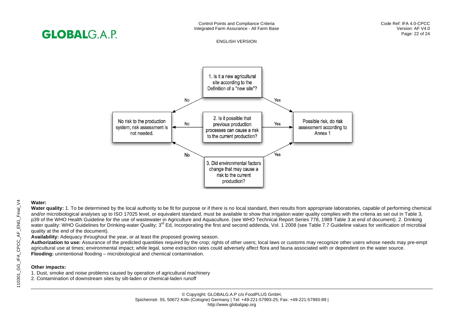# **GLOBALGAP**

#### ENGLISH VERSION



# **Water:**

Water quality: 1. To be determined by the local authority to be fit for purpose or if there is no local standard, then results from appropriate laboratories, capable of performing chemical and/or microbiological analyses up to ISO 17025 level, or equivalent standard, must be available to show that irrigation water quality complies with the criteria as set out in Table 3, p39 of the WHO Health Guideline for the use of wastewater in Agriculture and Aquaculture. (see WHO Technical Report Series 778, 1989 Table 3 at end of document). 2. Drinking water quality: WHO Guidelines for Drinking-water Quality: 3<sup>rd</sup> Ed, Incorporating the first and second addenda, Vol. 1 2008 (see Table 7.7 Guideline values for verification of microbial quality at the end of the document).

**Availability:** Adequacy throughout the year, or at least the proposed growing season.

**Authorization to use:** Assurance of the predicted quantities required by the crop; rights of other users; local laws or customs may recognize other users whose needs may pre-empt agricultural use at times; environmental impact; while legal, some extraction rates could adversely affect flora and fauna associated with or dependent on the water source. **Flooding:** unintentional flooding – microbiological and chemical contamination.

# **Other impacts:**

1. Dust, smoke and noise problems caused by operation of agricultural machinery

2. Contamination of downstream sites by silt-laden or chemical-laden runoff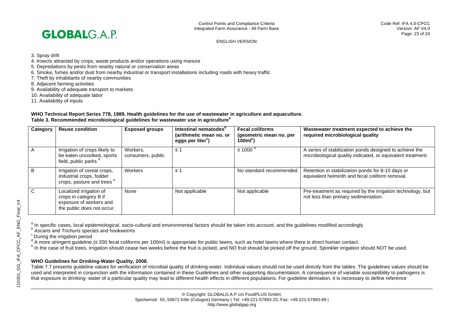

3. Spray drift

- 4. Insects attracted by crops, waste products and/or operations using manure
- 5. Depredations by pests from nearby natural or conservation areas
- 6. Smoke, fumes and/or dust from nearby industrial or transport installations including roads with heavy traffic
- 7. Theft by inhabitants of nearby communities

8. Adjacent farming activities

- 9. Availability of adequate transport to markets
- 10. Availability of adequate labor
- 11. Availability of inputs

#### **WHO Technical Report Series 778, 1989. Health guidelines for the use of wastewater in agriculture and aquaculture. Table 3. Recommended microbiological guidelines for wastewater use in agriculture<sup>a</sup>**

| Category | <b>Reuse condition</b>                                                                                     | <b>Exposed groups</b>         | Intestinal nematodes <sup>"</sup><br>(arithmetic mean no. or<br>eggs per liter <sup>c</sup> ) | <b>Fecal coliforms</b><br>(geometric mean no. per<br>$100mlc$ ) | Wastewater treatment expected to achieve the<br>required microbiological quality                                       |
|----------|------------------------------------------------------------------------------------------------------------|-------------------------------|-----------------------------------------------------------------------------------------------|-----------------------------------------------------------------|------------------------------------------------------------------------------------------------------------------------|
|          | Irrigation of crops likely to<br>be eaten uncooked, sports<br>field, public parks d                        | Workers,<br>consumers, public | ≤ 1                                                                                           | $\leq 1000$                                                     | A series of stabilization ponds designed to achieve the<br>microbiological quality indicated, or equivalent treatment. |
| B        | Irrigation of cereal crops,<br>industrial crops, fodder<br>crops, pasture and trees <sup>e</sup>           | Workers                       | $\leq 1$                                                                                      | No standard recommended                                         | Retention in stabilization ponds for 8-10 days or<br>equivalent helminth and fecal coliform removal.                   |
| C        | Localized irrigation of<br>crops in category B if<br>exposure of workers and<br>the public does not occur. | None                          | Not applicable                                                                                | Not applicable                                                  | Pre-treatment as required by the irrigation technology, but<br>not less than primary sedimentation.                    |

a In specific cases, local epidemiological, socio-cultural and environmental factors should be taken into account, and the guidelines modified accordingly<br>b Ascaris and Trichuris species and hookworms<br>c During the irrigati

<sup>d</sup> A more stringent guideline (≤ 200 fecal coliforms per 100ml) is appropriate for public lawns, such as hotel lawns where there is direct human contact.

<sup>e</sup> In the case of fruit trees, irrigation should cease two weeks before the fruit is picked, and NO fruit should be picked off the ground. Sprinkler irrigation should NOT be used.

# **WHO Guidelines for Drinking-Water Quality, 2008.**

Table 7.7 presents guideline values for verification of microbial quality of drinking-water. Individual values should not be used directly from the tables. The guidelines values should be used and interpreted in conjunction with the information contained in these Guidelines and other supporting documentation. A consequence of variable susceptibility to pathogens is that exposure to drinking- water of a particular quality may lead to different health effects in different populations. For guideline derivation, it is necessary to define reference